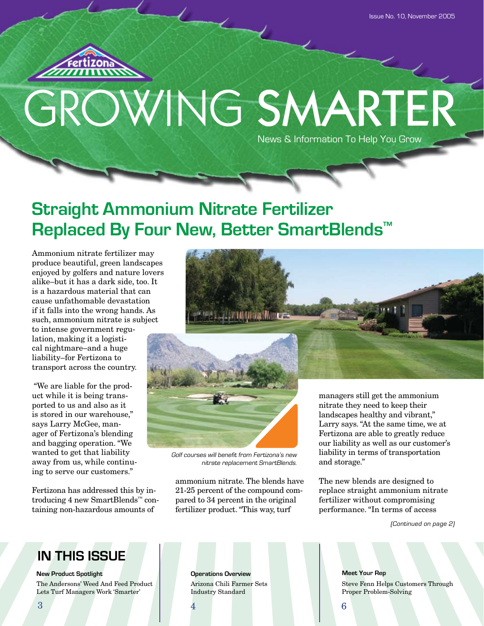

# GROWING SMARTER News & Information To Help You Grow

## **Straight Ammonium Nitrate Fertilizer Replaced By Four New, Better SmartBlends™**

Ammonium nitrate fertilizer may produce beautiful, green landscapes enjoyed by golfers and nature lovers alike–but it has a dark side, too. It is a hazardous material that can cause unfathomable devastation if it falls into the wrong hands. As such, ammonium nitrate is subject

to intense government regulation, making it a logistical nightmare–and a huge liability–for Fertizona to transport across the country.

 "We are liable for the product while it is being transported to us and also as it is stored in our warehouse," says Larry McGee, manager of Fertizona's blending and bagging operation. "We wanted to get that liability away from us, while continuing to serve our customers."

Fertizona has addressed this by introducing 4 new SmartBlends™ containing non-hazardous amounts of



Golf courses will benefit from Fertizona's new nitrate replacement SmartBlends.

ammonium nitrate. The blends have 21-25 percent of the compound compared to 34 percent in the original fertilizer product. "This way, turf

landscapes healthy and vibrant," Larry says. "At the same time, we at Fertizona are able to greatly reduce our liability as well as our customer's liability in terms of transportation and storage."

The new blends are designed to replace straight ammonium nitrate fertilizer without compromising performance. "In terms of access

(Continued on page 2)

## **IN THIS ISSUE**

**New Product Spotlight Constitutions over View Area Operations Overview** 

The Andersons' Weed And Feed Product Lets Turf Managers Work 'Smarter'

Arizona Chili Farmer Sets Industry Standard

**Meet Your Rep** Steve Fenn Helps Customers Through Proper Problem-Solving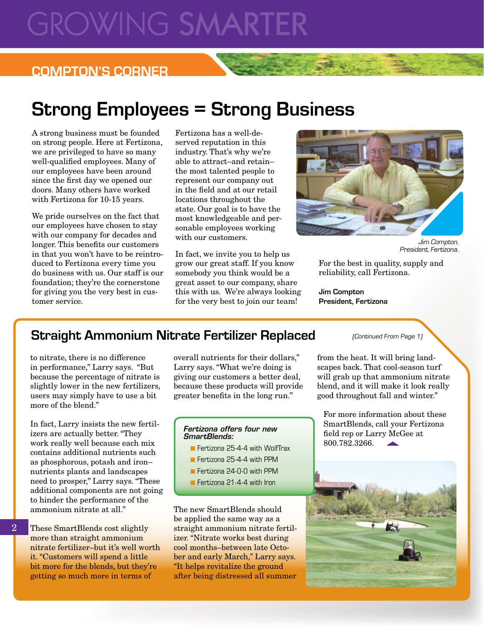# **GROWING SMARTEI**

### **COMPTON'S CORNER**

# **Strong Employees = Strong Business**

A strong business must be founded on strong people. Here at Fertizona, we are privileged to have so many well-qualified employees. Many of our employees have been around since the first day we opened our doors. Many others have worked with Fertizona for 10-15 years.

We pride ourselves on the fact that our employees have chosen to stay with our company for decades and longer. This benefits our customers in that you won't have to be reintroduced to Fertizona every time you do business with us. Our staff is our foundation; they're the cornerstone for giving you the very best in customer service.

Fertizona has a well-deserved reputation in this industry. That's why we're able to attract–and retain– the most talented people to represent our company out in the field and at our retail locations throughout the state. Our goal is to have the most knowledgeable and personable employees working with our customers.

In fact, we invite you to help us grow our great staff. If you know somebody you think would be a great asset to our company, share this with us. We're always looking for the very best to join our team!



Jim Compton, President, Fertizona.

For the best in quality, supply and reliability, call Fertizona.

**Jim Compton President, Fertizona**

### **Straight Ammonium Nitrate Fertilizer Replaced** (Continued From Page 1)

to nitrate, there is no difference in performance," Larry says. "But because the percentage of nitrate is slightly lower in the new fertilizers, users may simply have to use a bit more of the blend."

In fact, Larry insists the new fertilizers are actually better. "They work really well because each mix contains additional nutrients such as phosphorous, potash and iron– nutrients plants and landscapes need to prosper," Larry says. "These additional components are not going to hinder the performance of the ammonium nitrate at all."

These SmartBlends cost slightly more than straight ammonium nitrate fertilizer–but it's well worth it. "Customers will spend a little bit more for the blends, but they're getting so much more in terms of

2

overall nutrients for their dollars," Larry says. "What we're doing is giving our customers a better deal, because these products will provide greater benefits in the long run."

#### *Fertizona offers four new SmartBlends:*

- **F** Fertizona 25-4-4 with WolfTrax
- Fertizona 25-4-4 with PPM
- **n** Fertizona 24-0-0 with PPM
- **n** Fertizona 21-4-4 with Iron

The new SmartBlends should be applied the same way as a straight ammonium nitrate fertilizer. "Nitrate works best during cool months–between late October and early March," Larry says. "It helps revitalize the ground after being distressed all summer

from the heat. It will bring landscapes back. That cool-season turf will grab up that ammonium nitrate blend, and it will make it look really good throughout fall and winter."

For more information about these SmartBlends, call your Fertizona field rep or Larry McGee at 800.782.3266.

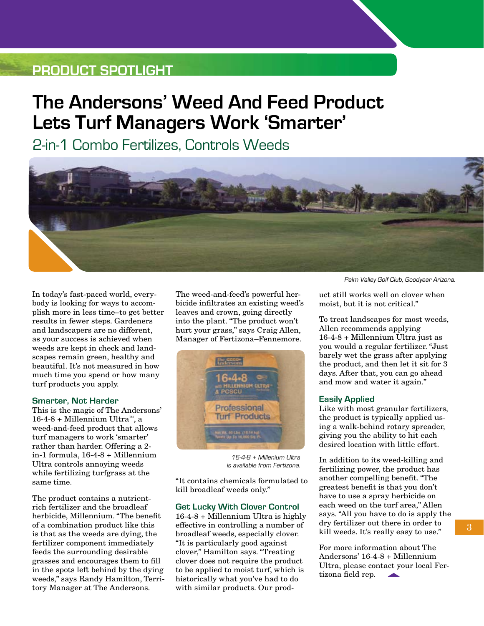## **Product Spotlight**

# **The Andersons' Weed And Feed Product Lets Turf Managers Work 'Smarter'**

2-in-1 Combo Fertilizes, Controls Weeds



In today's fast-paced world, everybody is looking for ways to accomplish more in less time–to get better results in fewer steps. Gardeners and landscapers are no different, as your success is achieved when weeds are kept in check and landscapes remain green, healthy and beautiful. It's not measured in how much time you spend or how many turf products you apply.

#### **Smarter, Not Harder**

This is the magic of The Andersons' 16-4-8 + Millennium Ultra™, a weed-and-feed product that allows turf managers to work 'smarter' rather than harder. Offering a 2 in-1 formula, 16-4-8 + Millennium Ultra controls annoying weeds while fertilizing turfgrass at the same time.

The product contains a nutrientrich fertilizer and the broadleaf herbicide, Millennium. "The benefit of a combination product like this is that as the weeds are dying, the fertilizer component immediately feeds the surrounding desirable grasses and encourages them to fill in the spots left behind by the dying weeds," says Randy Hamilton, Territory Manager at The Andersons.

The weed-and-feed's powerful herbicide infiltrates an existing weed's leaves and crown, going directly into the plant. "The product won't hurt your grass," says Craig Allen, Manager of Fertizona–Fennemore.



16-4-8 + Millenium Ultra is available from Fertizona.

"It contains chemicals formulated to kill broadleaf weeds only."

### **Get Lucky With Clover Control**

16-4-8 + Millennium Ultra is highly effective in controlling a number of broadleaf weeds, especially clover. "It is particularly good against clover," Hamilton says. "Treating clover does not require the product to be applied to moist turf, which is historically what you've had to do with similar products. Our prodPalm Valley Golf Club, Goodyear Arizona.

uct still works well on clover when moist, but it is not critical."

To treat landscapes for most weeds, Allen recommends applying 16-4-8 + Millennium Ultra just as you would a regular fertilizer. "Just barely wet the grass after applying the product, and then let it sit for 3 days. After that, you can go ahead and mow and water it again."

### **Easily Applied**

Like with most granular fertilizers, the product is typically applied using a walk-behind rotary spreader, giving you the ability to hit each desired location with little effort.

In addition to its weed-killing and fertilizing power, the product has another compelling benefit. "The greatest benefit is that you don't have to use a spray herbicide on each weed on the turf area," Allen says. "All you have to do is apply the dry fertilizer out there in order to kill weeds. It's really easy to use."

For more information about The Andersons' 16-4-8 + Millennium Ultra, please contact your local Fertizona field rep. **AND**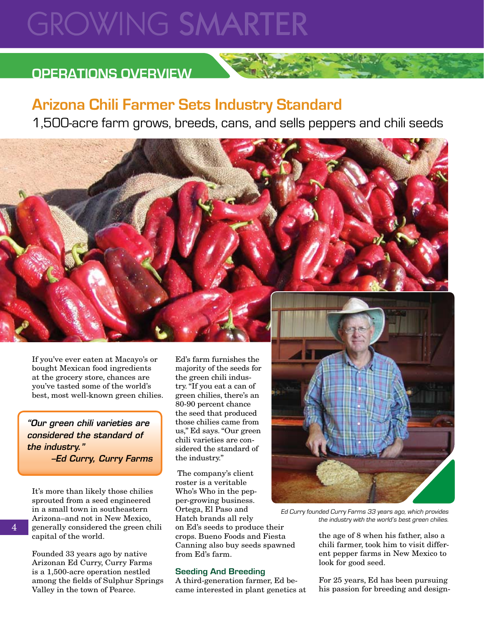# **GROWING SMARTER**

## **OPERATIONS OVERVIEW**

## **Arizona Chili Farmer Sets Industry Standard**

1,500-acre farm grows, breeds, cans, and sells peppers and chili seeds



*"Our green chili varieties are considered the standard of the industry." –Ed Curry, Curry Farms*

It's more than likely those chilies sprouted from a seed engineered in a small town in southeastern Arizona–and not in New Mexico, generally considered the green chili capital of the world.

Founded 33 years ago by native Arizonan Ed Curry, Curry Farms is a 1,500-acre operation nestled among the fields of Sulphur Springs Valley in the town of Pearce.

Ed's farm furnishes the majority of the seeds for the green chili industry. "If you eat a can of green chilies, there's an 80-90 percent chance the seed that produced those chilies came from us," Ed says. "Our green chili varieties are considered the standard of the industry."

 The company's client roster is a veritable Who's Who in the pepper-growing business. Ortega, El Paso and Hatch brands all rely on Ed's seeds to produce their crops. Bueno Foods and Fiesta Canning also buy seeds spawned from Ed's farm.

### **Seeding And Breeding**

A third-generation farmer, Ed became interested in plant genetics at



Ed Curry founded Curry Farms 33 years ago, which provides the industry with the world's best green chilies.

the age of 8 when his father, also a chili farmer, took him to visit different pepper farms in New Mexico to look for good seed.

For 25 years, Ed has been pursuing his passion for breeding and design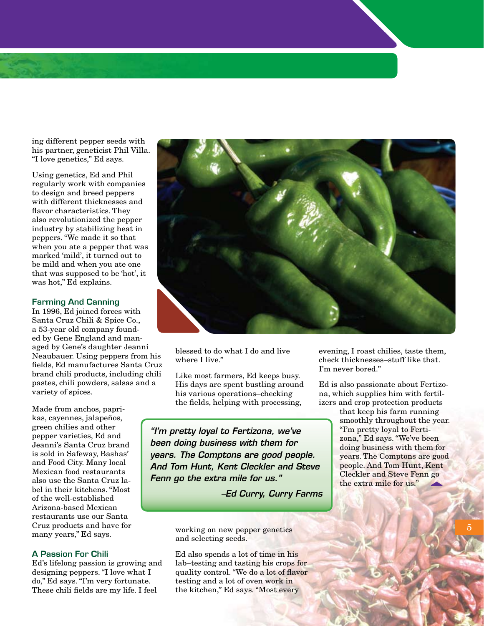ing different pepper seeds with his partner, geneticist Phil Villa. "I love genetics," Ed says.

Using genetics, Ed and Phil regularly work with companies to design and breed peppers with different thicknesses and flavor characteristics. They also revolutionized the pepper industry by stabilizing heat in peppers. "We made it so that when you ate a pepper that was marked 'mild', it turned out to be mild and when you ate one that was supposed to be 'hot', it was hot," Ed explains.

#### **Farming And Canning**

In 1996, Ed joined forces with Santa Cruz Chili & Spice Co., a 53-year old company founded by Gene England and managed by Gene's daughter Jeanni Neaubauer. Using peppers from his fields, Ed manufactures Santa Cruz brand chili products, including chili pastes, chili powders, salsas and a variety of spices.

Made from anchos, paprikas, cayennes, jalapeños, green chilies and other pepper varieties, Ed and Jeanni's Santa Cruz brand is sold in Safeway, Bashas' and Food City. Many local Mexican food restaurants also use the Santa Cruz label in their kitchens. "Most of the well-established Arizona-based Mexican restaurants use our Santa Cruz products and have for many years," Ed says.

### **A Passion For Chili**

Ed's lifelong passion is growing and designing peppers. "I love what I do," Ed says. "I'm very fortunate. These chili fields are my life. I feel



blessed to do what I do and live where I live."

Like most farmers, Ed keeps busy. His days are spent bustling around his various operations–checking the fields, helping with processing,

*"I'm pretty loyal to Fertizona, we've been doing business with them for years. The Comptons are good people. And Tom Hunt, Kent Cleckler and Steve Fenn go the extra mile for us."*

*–Ed Curry, Curry Farms*

working on new pepper genetics and selecting seeds.

Ed also spends a lot of time in his lab–testing and tasting his crops for quality control. "We do a lot of flavor testing and a lot of oven work in the kitchen," Ed says. "Most every

evening, I roast chilies, taste them, check thicknesses–stuff like that. I'm never bored."

Ed is also passionate about Fertizona, which supplies him with fertilizers and crop protection products

> that keep his farm running smoothly throughout the year. "I'm pretty loyal to Fertizona," Ed says. "We've been doing business with them for years. The Comptons are good people. And Tom Hunt, Kent Cleckler and Steve Fenn go the extra mile for us."

> > 5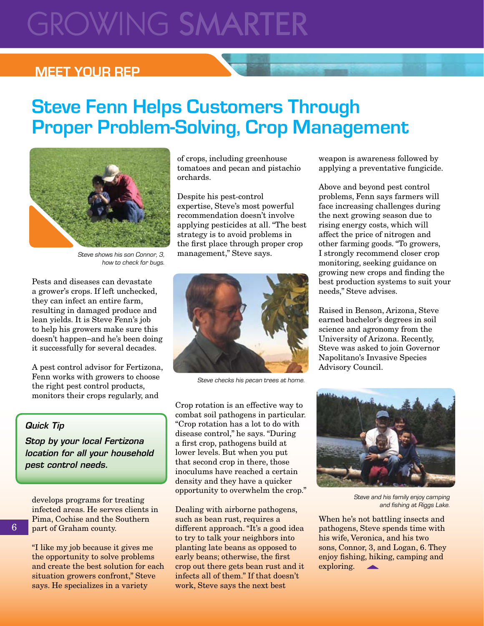# **GROWING SMARTER**

### **Meet Your Rep**

# **Steve Fenn Helps Customers Through Proper Problem-Solving, Crop Management**



Steve shows his son Connor, 3, how to check for bugs.

Pests and diseases can devastate a grower's crops. If left unchecked, they can infect an entire farm, resulting in damaged produce and lean yields. It is Steve Fenn's job to help his growers make sure this doesn't happen–and he's been doing it successfully for several decades.

A pest control advisor for Fertizona, Fenn works with growers to choose the right pest control products, monitors their crops regularly, and

### *Quick Tip*

*Stop by your local Fertizona location for all your household pest control needs.*

develops programs for treating infected areas. He serves clients in Pima, Cochise and the Southern part of Graham county.

"I like my job because it gives me the opportunity to solve problems and create the best solution for each situation growers confront," Steve says. He specializes in a variety

of crops, including greenhouse tomatoes and pecan and pistachio orchards.

Despite his pest-control expertise, Steve's most powerful recommendation doesn't involve applying pesticides at all. "The best strategy is to avoid problems in the first place through proper crop management," Steve says.



Steve checks his pecan trees at home.

Crop rotation is an effective way to combat soil pathogens in particular. "Crop rotation has a lot to do with disease control," he says. "During a first crop, pathogens build at lower levels. But when you put that second crop in there, those inoculums have reached a certain density and they have a quicker opportunity to overwhelm the crop."

Dealing with airborne pathogens, such as bean rust, requires a different approach. "It's a good idea to try to talk your neighbors into planting late beans as opposed to early beans; otherwise, the first crop out there gets bean rust and it infects all of them." If that doesn't work, Steve says the next best

weapon is awareness followed by applying a preventative fungicide.

Above and beyond pest control problems, Fenn says farmers will face increasing challenges during the next growing season due to rising energy costs, which will affect the price of nitrogen and other farming goods. "To growers, I strongly recommend closer crop monitoring, seeking guidance on growing new crops and finding the best production systems to suit your

needs," Steve advises.

Advisory Council.

Raised in Benson, Arizona, Steve earned bachelor's degrees in soil science and agronomy from the University of Arizona. Recently, Steve was asked to join Governor Napolitano's Invasive Species

Steve and his family enjoy camping and fishing at Riggs Lake.

When he's not battling insects and pathogens, Steve spends time with his wife, Veronica, and his two sons, Connor, 3, and Logan, 6. They enjoy fishing, hiking, camping and exploring.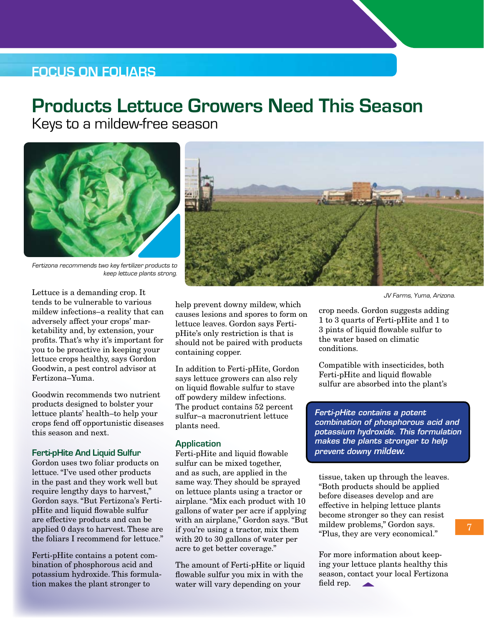### **Focus on Foliars**

## **Products Lettuce Growers Need This Season**

Keys to a mildew-free season



Fertizona recommends two key fertilizer products to keep lettuce plants strong.

Lettuce is a demanding crop. It tends to be vulnerable to various mildew infections–a reality that can adversely affect your crops' marketability and, by extension, your profits. That's why it's important for you to be proactive in keeping your lettuce crops healthy, says Gordon Goodwin, a pest control advisor at Fertizona–Yuma.

Goodwin recommends two nutrient products designed to bolster your lettuce plants' health–to help your crops fend off opportunistic diseases this season and next.

### **Ferti-pHite And Liquid Sulfur**

Gordon uses two foliar products on lettuce. "I've used other products in the past and they work well but require lengthy days to harvest," Gordon says. "But Fertizona's FertipHite and liquid flowable sulfur are effective products and can be applied 0 days to harvest. These are the foliars I recommend for lettuce."

Ferti-pHite contains a potent combination of phosphorous acid and potassium hydroxide. This formulation makes the plant stronger to

help prevent downy mildew, which causes lesions and spores to form on lettuce leaves. Gordon says FertipHite's only restriction is that is should not be paired with products containing copper.

In addition to Ferti-pHite, Gordon says lettuce growers can also rely on liquid flowable sulfur to stave off powdery mildew infections. The product contains 52 percent sulfur–a macronutrient lettuce plants need.

#### **Application**

Ferti-pHite and liquid flowable sulfur can be mixed together, and as such, are applied in the same way. They should be sprayed on lettuce plants using a tractor or airplane. "Mix each product with 10 gallons of water per acre if applying with an airplane," Gordon says. "But if you're using a tractor, mix them with 20 to 30 gallons of water per acre to get better coverage."

The amount of Ferti-pHite or liquid flowable sulfur you mix in with the water will vary depending on your

JV Farms, Yuma, Arizona.

crop needs. Gordon suggests adding 1 to 3 quarts of Ferti-pHite and 1 to 3 pints of liquid flowable sulfur to the water based on climatic conditions.

Compatible with insecticides, both Ferti-pHite and liquid flowable sulfur are absorbed into the plant's

*Ferti-pHite contains a potent combination of phosphorous acid and potassium hydroxide. This formulation makes the plants stronger to help prevent downy mildew.* 

tissue, taken up through the leaves. "Both products should be applied before diseases develop and are effective in helping lettuce plants become stronger so they can resist mildew problems," Gordon says. "Plus, they are very economical."

For more information about keeping your lettuce plants healthy this season, contact your local Fertizona field rep.